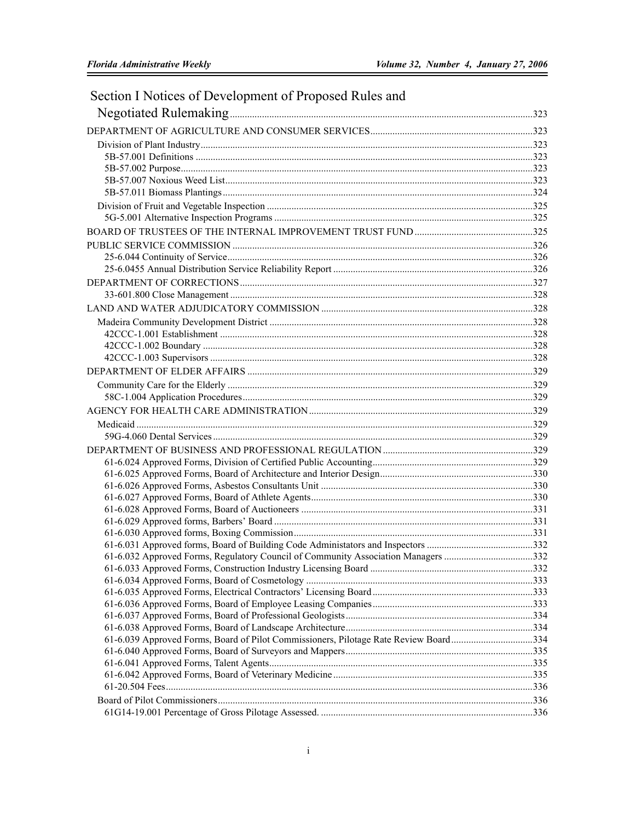| Section I Notices of Development of Proposed Rules and                               |  |
|--------------------------------------------------------------------------------------|--|
|                                                                                      |  |
|                                                                                      |  |
|                                                                                      |  |
|                                                                                      |  |
|                                                                                      |  |
|                                                                                      |  |
|                                                                                      |  |
|                                                                                      |  |
|                                                                                      |  |
|                                                                                      |  |
|                                                                                      |  |
|                                                                                      |  |
|                                                                                      |  |
|                                                                                      |  |
|                                                                                      |  |
|                                                                                      |  |
|                                                                                      |  |
|                                                                                      |  |
|                                                                                      |  |
|                                                                                      |  |
|                                                                                      |  |
|                                                                                      |  |
|                                                                                      |  |
|                                                                                      |  |
|                                                                                      |  |
|                                                                                      |  |
|                                                                                      |  |
|                                                                                      |  |
|                                                                                      |  |
|                                                                                      |  |
|                                                                                      |  |
|                                                                                      |  |
|                                                                                      |  |
|                                                                                      |  |
|                                                                                      |  |
| 61-6.032 Approved Forms, Regulatory Council of Community Association Managers 332    |  |
|                                                                                      |  |
|                                                                                      |  |
|                                                                                      |  |
|                                                                                      |  |
|                                                                                      |  |
|                                                                                      |  |
| 61-6.039 Approved Forms, Board of Pilot Commissioners, Pilotage Rate Review Board334 |  |
|                                                                                      |  |
|                                                                                      |  |
|                                                                                      |  |
|                                                                                      |  |
|                                                                                      |  |
|                                                                                      |  |

## $\,\dot{1}$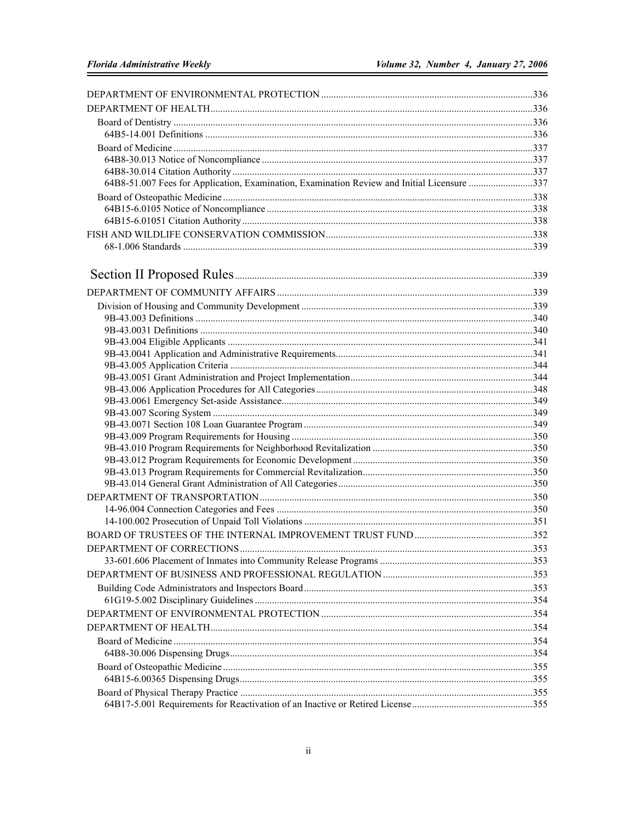| 64B8-51.007 Fees for Application, Examination, Examination Review and Initial Licensure 337 |       |
|---------------------------------------------------------------------------------------------|-------|
|                                                                                             |       |
|                                                                                             |       |
|                                                                                             |       |
|                                                                                             |       |
|                                                                                             |       |
|                                                                                             |       |
|                                                                                             |       |
|                                                                                             |       |
|                                                                                             |       |
|                                                                                             |       |
|                                                                                             |       |
|                                                                                             |       |
|                                                                                             |       |
|                                                                                             |       |
|                                                                                             |       |
|                                                                                             |       |
|                                                                                             |       |
|                                                                                             |       |
|                                                                                             |       |
|                                                                                             |       |
|                                                                                             |       |
|                                                                                             |       |
|                                                                                             |       |
|                                                                                             |       |
|                                                                                             |       |
|                                                                                             |       |
| DEPARTMENT OF CORRECTIONS                                                                   | . 353 |
|                                                                                             |       |
|                                                                                             |       |
|                                                                                             |       |
|                                                                                             |       |
|                                                                                             |       |
|                                                                                             |       |
|                                                                                             |       |
|                                                                                             |       |
|                                                                                             |       |
|                                                                                             |       |
|                                                                                             |       |
|                                                                                             |       |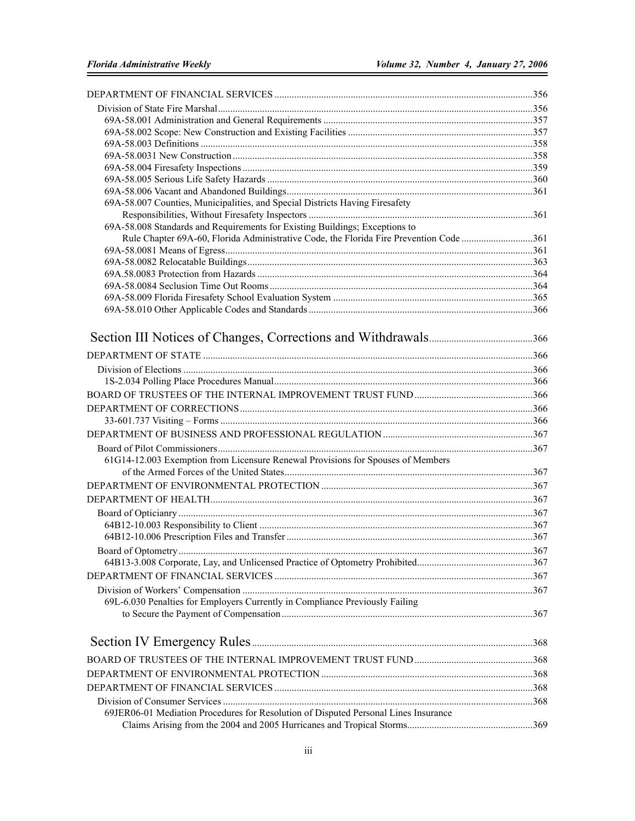| 69A-58.007 Counties, Municipalities, and Special Districts Having Firesafety           |     |
|----------------------------------------------------------------------------------------|-----|
|                                                                                        |     |
| 69A-58.008 Standards and Requirements for Existing Buildings; Exceptions to            |     |
| Rule Chapter 69A-60, Florida Administrative Code, the Florida Fire Prevention Code 361 |     |
|                                                                                        |     |
|                                                                                        |     |
|                                                                                        |     |
|                                                                                        |     |
|                                                                                        |     |
|                                                                                        |     |
|                                                                                        |     |
|                                                                                        |     |
|                                                                                        |     |
|                                                                                        |     |
|                                                                                        |     |
|                                                                                        |     |
|                                                                                        |     |
|                                                                                        |     |
|                                                                                        |     |
|                                                                                        |     |
| 61G14-12.003 Exemption from Licensure Renewal Provisions for Spouses of Members        |     |
|                                                                                        |     |
|                                                                                        |     |
|                                                                                        |     |
|                                                                                        |     |
|                                                                                        |     |
|                                                                                        |     |
|                                                                                        | 367 |
|                                                                                        |     |
|                                                                                        |     |
|                                                                                        |     |
| 69L-6.030 Penalties for Employers Currently in Compliance Previously Failing           |     |
|                                                                                        |     |
|                                                                                        |     |
|                                                                                        |     |
|                                                                                        |     |
|                                                                                        |     |
|                                                                                        |     |
| 69JER06-01 Mediation Procedures for Resolution of Disputed Personal Lines Insurance    |     |
|                                                                                        |     |
|                                                                                        |     |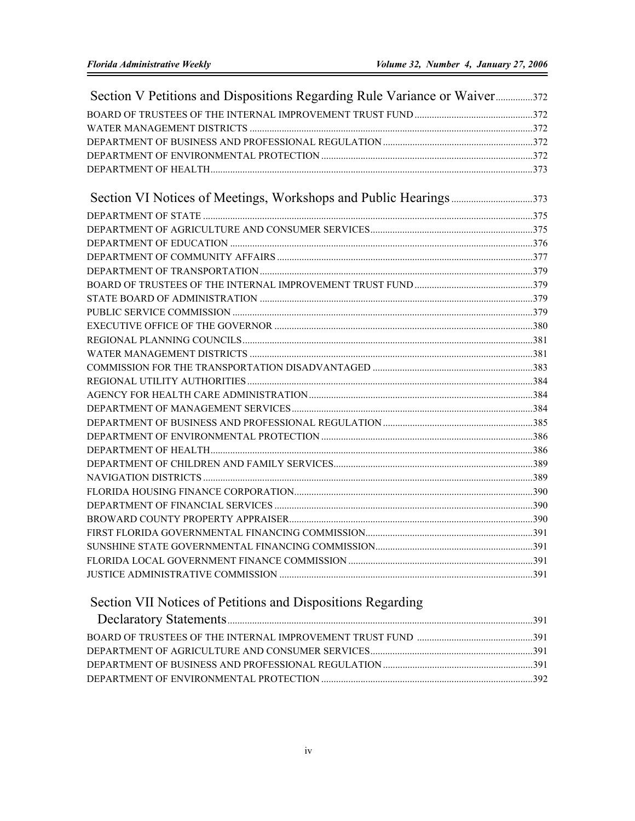| Section V Petitions and Dispositions Regarding Rule Variance or Waiver372 |  |
|---------------------------------------------------------------------------|--|
|                                                                           |  |
|                                                                           |  |
|                                                                           |  |
|                                                                           |  |
|                                                                           |  |
|                                                                           |  |
|                                                                           |  |
|                                                                           |  |
|                                                                           |  |
|                                                                           |  |
|                                                                           |  |
|                                                                           |  |
|                                                                           |  |
|                                                                           |  |
|                                                                           |  |
|                                                                           |  |
|                                                                           |  |
|                                                                           |  |
|                                                                           |  |
|                                                                           |  |
|                                                                           |  |
|                                                                           |  |
|                                                                           |  |
|                                                                           |  |
|                                                                           |  |
|                                                                           |  |
|                                                                           |  |
|                                                                           |  |
|                                                                           |  |
|                                                                           |  |
|                                                                           |  |
|                                                                           |  |
|                                                                           |  |
|                                                                           |  |

## Section VII Notices of Petitions and Dispositions Regarding